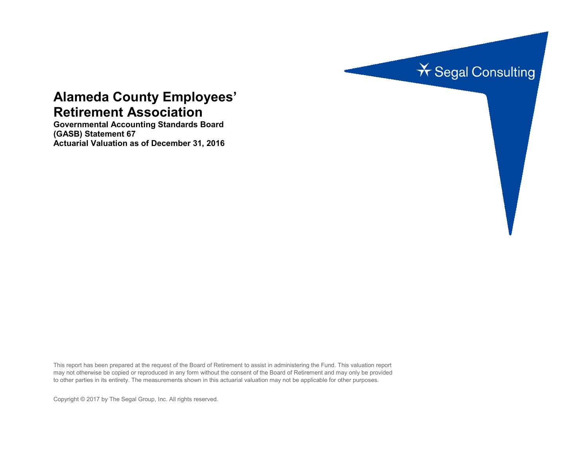

# **Alameda County Employees' Retirement Association**

**Governmental Accounting Standards Board (GASB) Statement 67 Actuarial Valuation as of December 31, 2016**

This report has been prepared at the request of the Board of Retirement to assist in administering the Fund. This valuation report may not otherwise be copied or reproduced in any form without the consent of the Board of Retirement and may only be provided to other parties in its entirety. The measurements shown in this actuarial valuation may not be applicable for other purposes.

Copyright © 2017 by The Segal Group, Inc. All rights reserved.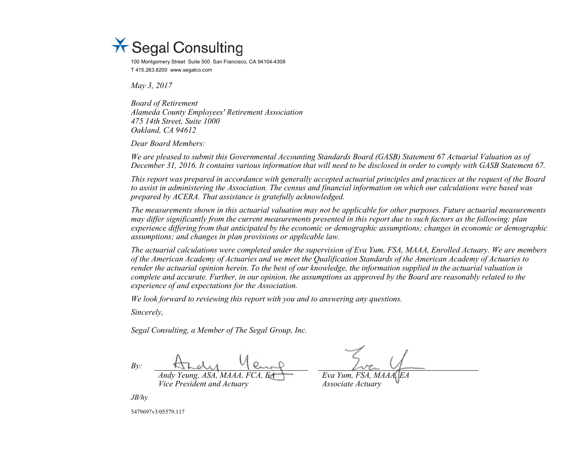

100 Montgomery Street Suite 500 San Francisco, CA 94104-4308 T 415.263.8200 www.segalco.com

*May 3, 2017*

*Board of Retirement Alameda County Employees' Retirement Association 475 14th Street, Suite 1000 Oakland, CA 94612*

*Dear Board Members:*

*We are pleased to submit this Governmental Accounting Standards Board (GASB) Statement 67 Actuarial Valuation as of December 31, 2016. It contains various information that will need to be disclosed in order to comply with GASB Statement 67.*

*This report was prepared in accordance with generally accepted actuarial principles and practices at the request of the Board to assist in administering the Association. The census and financial information on which our calculations were based was prepared by ACERA. That assistance is gratefully acknowledged.* 

*The measurements shown in this actuarial valuation may not be applicable for other purposes. Future actuarial measurements may differ significantly from the current measurements presented in this report due to such factors as the following: plan experience differing from that anticipated by the economic or demographic assumptions; changes in economic or demographic assumptions; and changes in plan provisions or applicable law.*

*The actuarial calculations were completed under the supervision of Eva Yum, FSA, MAAA, Enrolled Actuary. We are members of the American Academy of Actuaries and we meet the Qualification Standards of the American Academy of Actuaries to render the actuarial opinion herein. To the best of our knowledge, the information supplied in the actuarial valuation is complete and accurate. Further, in our opinion, the assumptions as approved by the Board are reasonably related to the experience of and expectations for the Association.*

*We look forward to reviewing this report with you and to answering any questions.*

*Sincerely,*

*Segal Consulting, a Member of The Segal Group, Inc.*

*By: Andy Yeung, ASA, MAAA, FCA, EA Eva Yum, FSA, MAAA, EA Vice President and Actuary Associate Actuary*

*JB/hy*

5479697v3/05579.117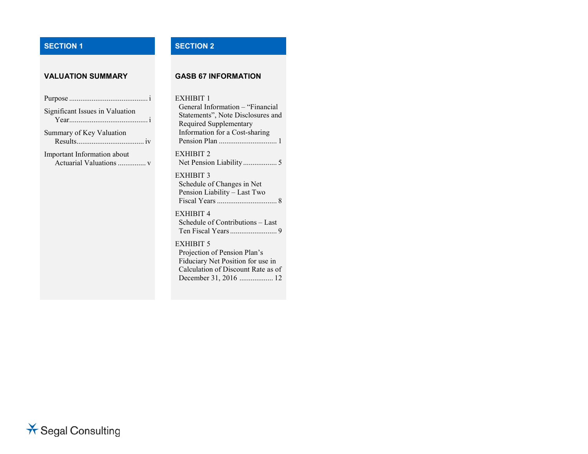# **SECTION 1 SECTION 2**

#### **VALUATION SUMMARY GASB 67 INFORMATION**

### EXHIBIT 1

Significant Issues in Valuation Year.......................................... i Summary of Key Valuation Results.................................... iv Important Information about Actuarial Valuations ............... v

Purpose .......................................... i

General Information – "Financial Statements", Note Disclosures and Required Supplementary Information for a Cost-sharing Pension Plan ............................... 1 EXHIBIT 2 Net Pension Liability .................. 5 EXHIBIT 3 Schedule of Changes in Net Pension Liability – Last Two Fiscal Years................................ 8 EXHIBIT 4 Schedule of Contributions – Last Ten Fiscal Years......................... 9 EXHIBIT 5 Projection of Pension Plan's Fiduciary Net Position for use in Calculation of Discount Rate as of December 31, 2016 .................. 12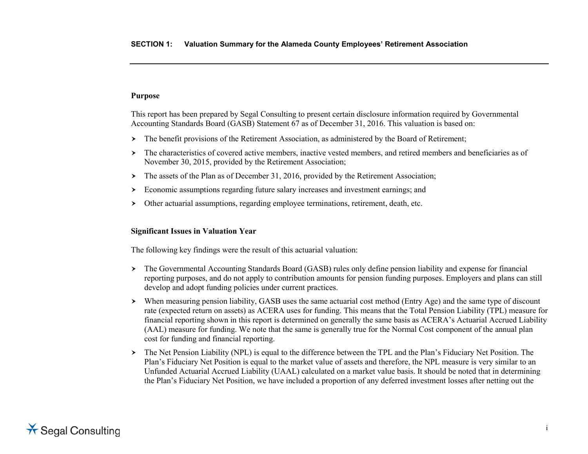# **Purpose**

This report has been prepared by Segal Consulting to present certain disclosure information required by Governmental Accounting Standards Board (GASB) Statement 67 as of December 31, 2016. This valuation is based on:

- The benefit provisions of the Retirement Association, as administered by the Board of Retirement;
- The characteristics of covered active members, inactive vested members, and retired members and beneficiaries as of November 30, 2015, provided by the Retirement Association;
- > The assets of the Plan as of December 31, 2016, provided by the Retirement Association;
- Economic assumptions regarding future salary increases and investment earnings; and
- Other actuarial assumptions, regarding employee terminations, retirement, death, etc.

# **Significant Issues in Valuation Year**

The following key findings were the result of this actuarial valuation:

- The Governmental Accounting Standards Board (GASB) rules only define pension liability and expense for financial reporting purposes, and do not apply to contribution amounts for pension funding purposes. Employers and plans can still develop and adopt funding policies under current practices.
- When measuring pension liability, GASB uses the same actuarial cost method (Entry Age) and the same type of discount rate (expected return on assets) as ACERA uses for funding. This means that the Total Pension Liability (TPL) measure for financial reporting shown in this report is determined on generally the same basis as ACERA's Actuarial Accrued Liability (AAL) measure for funding. We note that the same is generally true for the Normal Cost component of the annual plan cost for funding and financial reporting.
- The Net Pension Liability (NPL) is equal to the difference between the TPL and the Plan's Fiduciary Net Position. The Plan's Fiduciary Net Position is equal to the market value of assets and therefore, the NPL measure is very similar to an Unfunded Actuarial Accrued Liability (UAAL) calculated on a market value basis. It should be noted that in determining the Plan's Fiduciary Net Position, we have included a proportion of any deferred investment losses after netting out the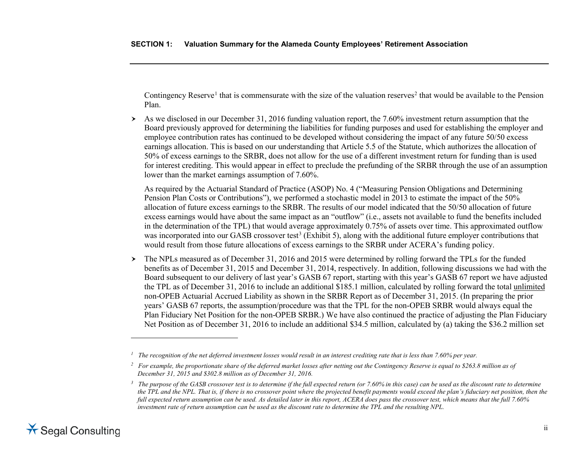<span id="page-4-2"></span><span id="page-4-1"></span><span id="page-4-0"></span>Contingency Reserve<sup>[1](#page-4-0)</sup> that is commensurate with the size of the valuation reserves<sup>2</sup> that would be available to the Pension Plan.

 $\geq$  As we disclosed in our December 31, 2016 funding valuation report, the 7.60% investment return assumption that the Board previously approved for determining the liabilities for funding purposes and used for establishing the employer and employee contribution rates has continued to be developed without considering the impact of any future 50/50 excess earnings allocation. This is based on our understanding that Article 5.5 of the Statute, which authorizes the allocation of 50% of excess earnings to the SRBR, does not allow for the use of a different investment return for funding than is used for interest crediting. This would appear in effect to preclude the prefunding of the SRBR through the use of an assumption lower than the market earnings assumption of 7.60%.

As required by the Actuarial Standard of Practice (ASOP) No. 4 ("Measuring Pension Obligations and Determining Pension Plan Costs or Contributions"), we performed a stochastic model in 2013 to estimate the impact of the 50% allocation of future excess earnings to the SRBR. The results of our model indicated that the 50/50 allocation of future excess earnings would have about the same impact as an "outflow" (i.e., assets not available to fund the benefits included in the determination of the TPL) that would average approximately 0.75% of assets over time. This approximated outflow was incorporated into our GASB crossover test<sup>[3](#page-4-2)</sup> (Exhibit 5), along with the additional future employer contributions that would result from those future allocations of excess earnings to the SRBR under ACERA's funding policy.

 $\geq$  The NPLs measured as of December 31, 2016 and 2015 were determined by rolling forward the TPLs for the funded benefits as of December 31, 2015 and December 31, 2014, respectively. In addition, following discussions we had with the Board subsequent to our delivery of last year's GASB 67 report, starting with this year's GASB 67 report we have adjusted the TPL as of December 31, 2016 to include an additional \$185.1 million, calculated by rolling forward the total unlimited non-OPEB Actuarial Accrued Liability as shown in the SRBR Report as of December 31, 2015. (In preparing the prior years' GASB 67 reports, the assumption/procedure was that the TPL for the non-OPEB SRBR would always equal the Plan Fiduciary Net Position for the non-OPEB SRBR.) We have also continued the practice of adjusting the Plan Fiduciary Net Position as of December 31, 2016 to include an additional \$34.5 million, calculated by (a) taking the \$36.2 million set

 $\overline{a}$ 

*<sup>1</sup> The recognition of the net deferred investment losses would result in an interest crediting rate that is less than 7.60% per year.*

*<sup>2</sup> For example, the proportionate share of the deferred market losses after netting out the Contingency Reserve is equal to \$263.8 million as of December 31, 2015 and \$302.8 million as of December 31, 2016.*

<sup>&</sup>lt;sup>3</sup> The purpose of the GASB crossover test is to determine if the full expected return (or 7.60% in this case) can be used as the discount rate to determine *the TPL and the NPL. That is, if there is no crossover point where the projected benefit payments would exceed the plan's fiduciary net position, then the full expected return assumption can be used. As detailed later in this report, ACERA does pass the crossover test, which means that the full 7.60% investment rate of return assumption can be used as the discount rate to determine the TPL and the resulting NPL.*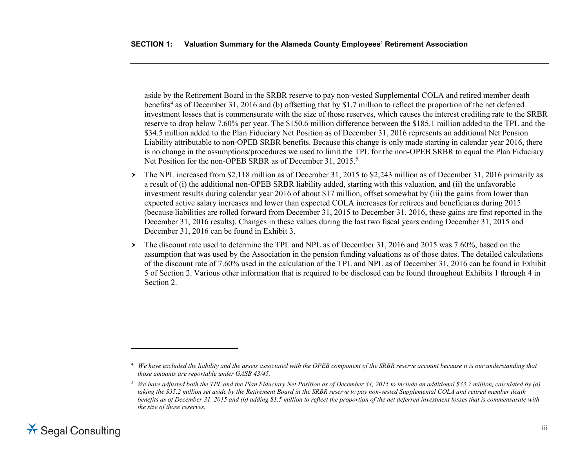<span id="page-5-1"></span><span id="page-5-0"></span>aside by the Retirement Board in the SRBR reserve to pay non-vested Supplemental COLA and retired member death benefits<sup>[4](#page-5-0)</sup> as of December 31, 2016 and (b) offsetting that by \$1.7 million to reflect the proportion of the net deferred investment losses that is commensurate with the size of those reserves, which causes the interest crediting rate to the SRBR reserve to drop below 7.60% per year. The \$150.6 million difference between the \$185.1 million added to the TPL and the \$34.5 million added to the Plan Fiduciary Net Position as of December 31, 2016 represents an additional Net Pension Liability attributable to non-OPEB SRBR benefits. Because this change is only made starting in calendar year 2016, there is no change in the assumptions/procedures we used to limit the TPL for the non-OPEB SRBR to equal the Plan Fiduciary Net Position for the non-OPEB SRBR as of December 31, 201[5](#page-5-1).<sup>5</sup>

- The NPL increased from \$2,118 million as of December 31, 2015 to \$2,243 million as of December 31, 2016 primarily as a result of (i) the additional non-OPEB SRBR liability added, starting with this valuation, and (ii) the unfavorable investment results during calendar year 2016 of about \$17 million, offset somewhat by (iii) the gains from lower than expected active salary increases and lower than expected COLA increases for retirees and beneficiares during 2015 (because liabilities are rolled forward from December 31, 2015 to December 31, 2016, these gains are first reported in the December 31, 2016 results). Changes in these values during the last two fiscal years ending December 31, 2015 and December 31, 2016 can be found in Exhibit 3.
- $\geq$  The discount rate used to determine the TPL and NPL as of December 31, 2016 and 2015 was 7.60%, based on the assumption that was used by the Association in the pension funding valuations as of those dates. The detailed calculations of the discount rate of 7.60% used in the calculation of the TPL and NPL as of December 31, 2016 can be found in Exhibit 5 of Section 2. Various other information that is required to be disclosed can be found throughout Exhibits 1 through 4 in Section 2.

 $\overline{a}$ 

*<sup>4</sup> We have excluded the liability and the assets associated with the OPEB component of the SRBR reserve account because it is our understanding that those amounts are reportable under GASB 43/45.*

 $5$  *We have adjusted both the TPL and the Plan Fiduciary Net Position as of December 31, 2015 to include an additional \$33.7 million, calculated by (a) taking the \$35.2 million set aside by the Retirement Board in the SRBR reserve to pay non-vested Supplemental COLA and retired member death benefits as of December 31, 2015 and (b) adding \$1.5 million to reflect the proportion of the net deferred investment losses that is commensurate with the size of those reserves.*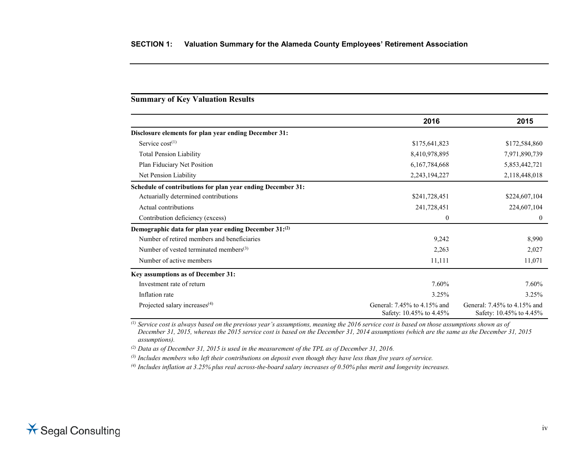## **Summary of Key Valuation Results**

|                                                             | 2016                                                   | 2015                                                   |
|-------------------------------------------------------------|--------------------------------------------------------|--------------------------------------------------------|
| Disclosure elements for plan year ending December 31:       |                                                        |                                                        |
| Service $cost^{(1)}$                                        | \$175,641,823                                          | \$172,584,860                                          |
| <b>Total Pension Liability</b>                              | 8,410,978,895                                          | 7,971,890,739                                          |
| Plan Fiduciary Net Position                                 | 6, 167, 784, 668                                       | 5,853,442,721                                          |
| Net Pension Liability                                       | 2,243,194,227                                          | 2,118,448,018                                          |
| Schedule of contributions for plan year ending December 31: |                                                        |                                                        |
| Actuarially determined contributions                        | \$241,728,451                                          | \$224,607,104                                          |
| Actual contributions                                        | 241,728,451                                            | 224,607,104                                            |
| Contribution deficiency (excess)                            | 0                                                      | $\theta$                                               |
| Demographic data for plan year ending December 31:(2)       |                                                        |                                                        |
| Number of retired members and beneficiaries                 | 9,242                                                  | 8,990                                                  |
| Number of vested terminated members $(3)$                   | 2,263                                                  | 2,027                                                  |
| Number of active members                                    | 11,111                                                 | 11,071                                                 |
| Key assumptions as of December 31:                          |                                                        |                                                        |
| Investment rate of return                                   | 7.60%                                                  | 7.60%                                                  |
| Inflation rate                                              | 3.25%                                                  | 3.25%                                                  |
| Projected salary increases <sup>(4)</sup>                   | General: 7.45% to 4.15% and<br>Safety: 10.45% to 4.45% | General: 7.45% to 4.15% and<br>Safety: 10.45% to 4.45% |

*(1) Service cost is always based on the previous year's assumptions, meaning the 2016 service cost is based on those assumptions shown as of December 31, 2015, whereas the 2015 service cost is based on the December 31, 2014 assumptions (which are the same as the December 31, 2015 assumptions).*

*(2) Data as of December 31, 2015 is used in the measurement of the TPL as of December 31, 2016.*

*(3) Includes members who left their contributions on deposit even though they have less than five years of service.*

*(4) Includes inflation at 3.25% plus real across-the-board salary increases of 0.50% plus merit and longevity increases.*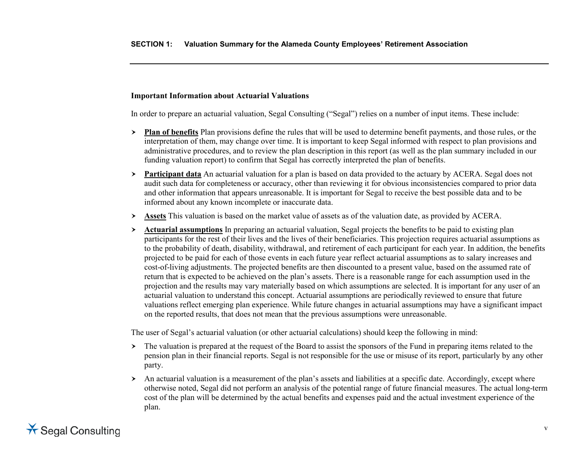### **Important Information about Actuarial Valuations**

In order to prepare an actuarial valuation, Segal Consulting ("Segal") relies on a number of input items. These include:

- **Plan of benefits** Plan provisions define the rules that will be used to determine benefit payments, and those rules, or the interpretation of them, may change over time. It is important to keep Segal informed with respect to plan provisions and administrative procedures, and to review the plan description in this report (as well as the plan summary included in our funding valuation report) to confirm that Segal has correctly interpreted the plan of benefits.
- **Participant data** An actuarial valuation for a plan is based on data provided to the actuary by ACERA. Segal does not audit such data for completeness or accuracy, other than reviewing it for obvious inconsistencies compared to prior data and other information that appears unreasonable. It is important for Segal to receive the best possible data and to be informed about any known incomplete or inaccurate data.
- **Assets** This valuation is based on the market value of assets as of the valuation date, as provided by ACERA.
- **Actuarial assumptions** In preparing an actuarial valuation, Segal projects the benefits to be paid to existing plan participants for the rest of their lives and the lives of their beneficiaries. This projection requires actuarial assumptions as to the probability of death, disability, withdrawal, and retirement of each participant for each year. In addition, the benefits projected to be paid for each of those events in each future year reflect actuarial assumptions as to salary increases and cost-of-living adjustments. The projected benefits are then discounted to a present value, based on the assumed rate of return that is expected to be achieved on the plan's assets. There is a reasonable range for each assumption used in the projection and the results may vary materially based on which assumptions are selected. It is important for any user of an actuarial valuation to understand this concept. Actuarial assumptions are periodically reviewed to ensure that future valuations reflect emerging plan experience. While future changes in actuarial assumptions may have a significant impact on the reported results, that does not mean that the previous assumptions were unreasonable.

The user of Segal's actuarial valuation (or other actuarial calculations) should keep the following in mind:

- > The valuation is prepared at the request of the Board to assist the sponsors of the Fund in preparing items related to the pension plan in their financial reports. Segal is not responsible for the use or misuse of its report, particularly by any other party.
- An actuarial valuation is a measurement of the plan's assets and liabilities at a specific date. Accordingly, except where otherwise noted, Segal did not perform an analysis of the potential range of future financial measures. The actual long-term cost of the plan will be determined by the actual benefits and expenses paid and the actual investment experience of the plan.

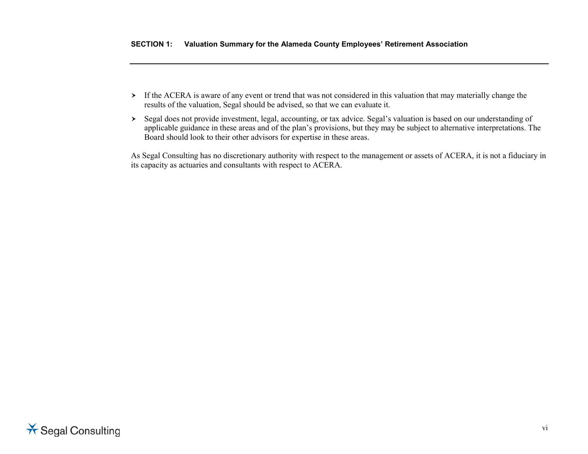- If the ACERA is aware of any event or trend that was not considered in this valuation that may materially change the results of the valuation, Segal should be advised, so that we can evaluate it.
- Segal does not provide investment, legal, accounting, or tax advice. Segal's valuation is based on our understanding of applicable guidance in these areas and of the plan's provisions, but they may be subject to alternative interpretations. The Board should look to their other advisors for expertise in these areas.

As Segal Consulting has no discretionary authority with respect to the management or assets of ACERA, it is not a fiduciary in its capacity as actuaries and consultants with respect to ACERA.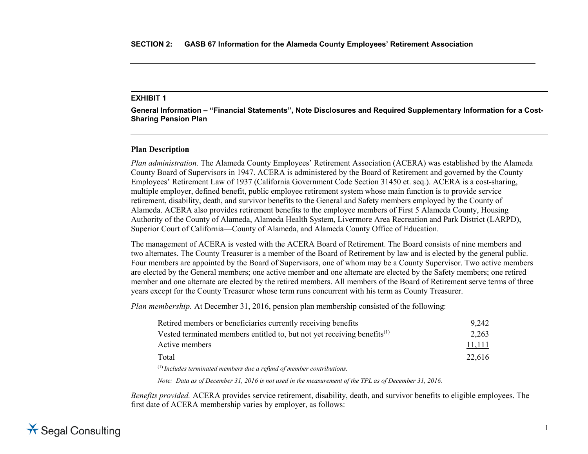**General Information – "Financial Statements", Note Disclosures and Required Supplementary Information for a Cost-Sharing Pension Plan**

#### **Plan Description**

*Plan administration.* The Alameda County Employees' Retirement Association (ACERA) was established by the Alameda County Board of Supervisors in 1947. ACERA is administered by the Board of Retirement and governed by the County Employees' Retirement Law of 1937 (California Government Code Section 31450 et. seq.). ACERA is a cost-sharing, multiple employer, defined benefit, public employee retirement system whose main function is to provide service retirement, disability, death, and survivor benefits to the General and Safety members employed by the County of Alameda. ACERA also provides retirement benefits to the employee members of First 5 Alameda County, Housing Authority of the County of Alameda, Alameda Health System, Livermore Area Recreation and Park District (LARPD), Superior Court of California—County of Alameda, and Alameda County Office of Education.

The management of ACERA is vested with the ACERA Board of Retirement. The Board consists of nine members and two alternates. The County Treasurer is a member of the Board of Retirement by law and is elected by the general public. Four members are appointed by the Board of Supervisors, one of whom may be a County Supervisor. Two active members are elected by the General members; one active member and one alternate are elected by the Safety members; one retired member and one alternate are elected by the retired members. All members of the Board of Retirement serve terms of three years except for the County Treasurer whose term runs concurrent with his term as County Treasurer.

*Plan membership.* At December 31, 2016, pension plan membership consisted of the following:

| Retired members or beneficiaries currently receiving benefits                                                                                                                                                                                                                                                                 | 9.242  |
|-------------------------------------------------------------------------------------------------------------------------------------------------------------------------------------------------------------------------------------------------------------------------------------------------------------------------------|--------|
| Vested terminated members entitled to, but not yet receiving benefits $^{(1)}$                                                                                                                                                                                                                                                | 2,263  |
| Active members                                                                                                                                                                                                                                                                                                                | 11,111 |
| Total                                                                                                                                                                                                                                                                                                                         | 22.616 |
| $(1)$ $\mathbf{r}$ $\mathbf{r}$ $\mathbf{r}$ $\mathbf{r}$ $\mathbf{r}$ $\mathbf{r}$ $\mathbf{r}$ $\mathbf{r}$ $\mathbf{r}$ $\mathbf{r}$ $\mathbf{r}$ $\mathbf{r}$ $\mathbf{r}$ $\mathbf{r}$ $\mathbf{r}$ $\mathbf{r}$ $\mathbf{r}$ $\mathbf{r}$ $\mathbf{r}$ $\mathbf{r}$ $\mathbf{r}$ $\mathbf{r}$ $\mathbf{r}$ $\mathbf{r}$ |        |

(1) *Includes terminated members due a refund of member contributions.*

*Note: Data as of December 31, 2016 is not used in the measurement of the TPL as of December 31, 2016.*

*Benefits provided.* ACERA provides service retirement, disability, death, and survivor benefits to eligible employees. The first date of ACERA membership varies by employer, as follows:

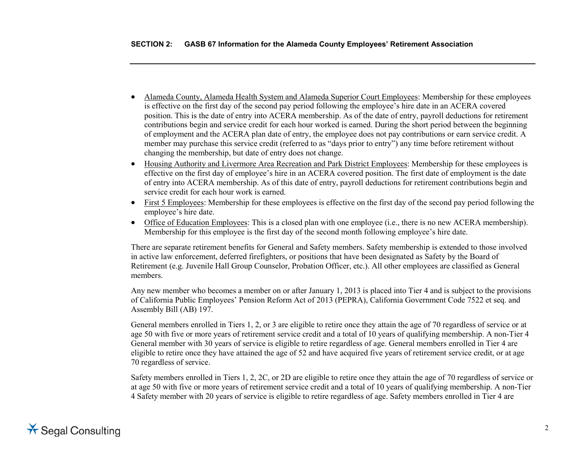- Alameda County, Alameda Health System and Alameda Superior Court Employees: Membership for these employees is effective on the first day of the second pay period following the employee's hire date in an ACERA covered position. This is the date of entry into ACERA membership. As of the date of entry, payroll deductions for retirement contributions begin and service credit for each hour worked is earned. During the short period between the beginning of employment and the ACERA plan date of entry, the employee does not pay contributions or earn service credit. A member may purchase this service credit (referred to as "days prior to entry") any time before retirement without changing the membership, but date of entry does not change.
- Housing Authority and Livermore Area Recreation and Park District Employees: Membership for these employees is effective on the first day of employee's hire in an ACERA covered position. The first date of employment is the date of entry into ACERA membership. As of this date of entry, payroll deductions for retirement contributions begin and service credit for each hour work is earned.
- First 5 Employees: Membership for these employees is effective on the first day of the second pay period following the employee's hire date.
- Office of Education Employees: This is a closed plan with one employee (i.e., there is no new ACERA membership). Membership for this employee is the first day of the second month following employee's hire date.

There are separate retirement benefits for General and Safety members. Safety membership is extended to those involved in active law enforcement, deferred firefighters, or positions that have been designated as Safety by the Board of Retirement (e.g. Juvenile Hall Group Counselor, Probation Officer, etc.). All other employees are classified as General members.

Any new member who becomes a member on or after January 1, 2013 is placed into Tier 4 and is subject to the provisions of California Public Employees' Pension Reform Act of 2013 (PEPRA), California Government Code 7522 et seq. and Assembly Bill (AB) 197.

General members enrolled in Tiers 1, 2, or 3 are eligible to retire once they attain the age of 70 regardless of service or at age 50 with five or more years of retirement service credit and a total of 10 years of qualifying membership. A non-Tier 4 General member with 30 years of service is eligible to retire regardless of age. General members enrolled in Tier 4 are eligible to retire once they have attained the age of 52 and have acquired five years of retirement service credit, or at age 70 regardless of service.

Safety members enrolled in Tiers 1, 2, 2C, or 2D are eligible to retire once they attain the age of 70 regardless of service or at age 50 with five or more years of retirement service credit and a total of 10 years of qualifying membership. A non-Tier 4 Safety member with 20 years of service is eligible to retire regardless of age. Safety members enrolled in Tier 4 are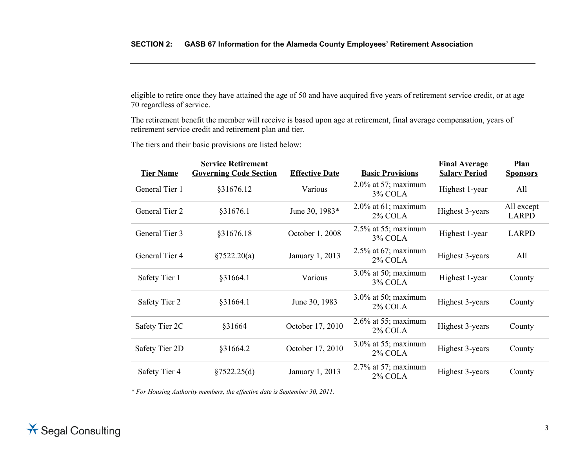eligible to retire once they have attained the age of 50 and have acquired five years of retirement service credit, or at age 70 regardless of service.

The retirement benefit the member will receive is based upon age at retirement, final average compensation, years of retirement service credit and retirement plan and tier.

The tiers and their basic provisions are listed below:

| <b>Tier Name</b> | <b>Service Retirement</b><br><b>Governing Code Section</b> | <b>Effective Date</b> | <b>Basic Provisions</b>              | <b>Final Average</b><br><b>Salary Period</b> | Plan<br><b>Sponsors</b>    |
|------------------|------------------------------------------------------------|-----------------------|--------------------------------------|----------------------------------------------|----------------------------|
| General Tier 1   | §31676.12                                                  | Various               | $2.0\%$ at 57; maximum<br>3% COLA    | Highest 1-year                               | All                        |
| General Tier 2   | §31676.1                                                   | June 30, 1983*        | $2.0\%$ at 61; maximum<br>2% COLA    | Highest 3-years                              | All except<br><b>LARPD</b> |
| General Tier 3   | §31676.18                                                  | October 1, 2008       | $2.5\%$ at 55; maximum<br>3% COLA    | Highest 1-year                               | <b>LARPD</b>               |
| General Tier 4   | §7522.20(a)                                                | January 1, 2013       | $2.5\%$ at 67; maximum<br>2% COLA    | Highest 3-years                              | All                        |
| Safety Tier 1    | §31664.1                                                   | Various               | $3.0\%$ at 50; maximum<br>3% COLA    | Highest 1-year                               | County                     |
| Safety Tier 2    | §31664.1                                                   | June 30, 1983         | $3.0\%$ at 50; maximum<br>2% COLA    | Highest 3-years                              | County                     |
| Safety Tier 2C   | §31664                                                     | October 17, 2010      | $2.6\%$ at 55; maximum<br>2% COLA    | Highest 3-years                              | County                     |
| Safety Tier 2D   | §31664.2                                                   | October 17, 2010      | $3.0\%$ at 55; maximum<br>$2\%$ COLA | Highest 3-years                              | County                     |
| Safety Tier 4    | §7522.25(d)                                                | January 1, 2013       | $2.7\%$ at 57; maximum<br>2% COLA    | Highest 3-years                              | County                     |
|                  |                                                            |                       |                                      |                                              |                            |

*\* For Housing Authority members, the effective date is September 30, 2011.*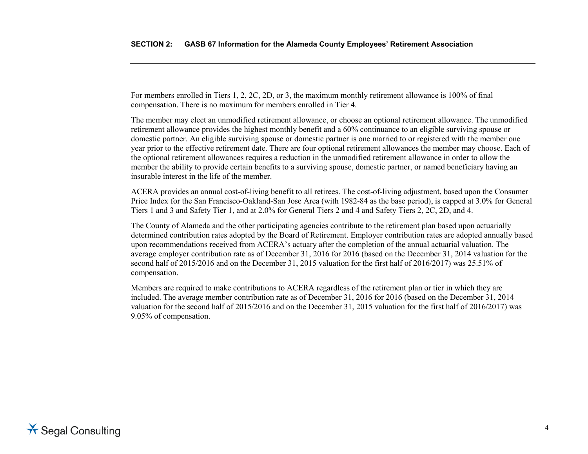For members enrolled in Tiers 1, 2, 2C, 2D, or 3, the maximum monthly retirement allowance is 100% of final compensation. There is no maximum for members enrolled in Tier 4.

The member may elect an unmodified retirement allowance, or choose an optional retirement allowance. The unmodified retirement allowance provides the highest monthly benefit and a 60% continuance to an eligible surviving spouse or domestic partner. An eligible surviving spouse or domestic partner is one married to or registered with the member one year prior to the effective retirement date. There are four optional retirement allowances the member may choose. Each of the optional retirement allowances requires a reduction in the unmodified retirement allowance in order to allow the member the ability to provide certain benefits to a surviving spouse, domestic partner, or named beneficiary having an insurable interest in the life of the member.

ACERA provides an annual cost-of-living benefit to all retirees. The cost-of-living adjustment, based upon the Consumer Price Index for the San Francisco-Oakland-San Jose Area (with 1982-84 as the base period), is capped at 3.0% for General Tiers 1 and 3 and Safety Tier 1, and at 2.0% for General Tiers 2 and 4 and Safety Tiers 2, 2C, 2D, and 4.

The County of Alameda and the other participating agencies contribute to the retirement plan based upon actuarially determined contribution rates adopted by the Board of Retirement. Employer contribution rates are adopted annually based upon recommendations received from ACERA's actuary after the completion of the annual actuarial valuation. The average employer contribution rate as of December 31, 2016 for 2016 (based on the December 31, 2014 valuation for the second half of 2015/2016 and on the December 31, 2015 valuation for the first half of 2016/2017) was 25.51% of compensation.

Members are required to make contributions to ACERA regardless of the retirement plan or tier in which they are included. The average member contribution rate as of December 31, 2016 for 2016 (based on the December 31, 2014 valuation for the second half of 2015/2016 and on the December 31, 2015 valuation for the first half of 2016/2017) was 9.05% of compensation.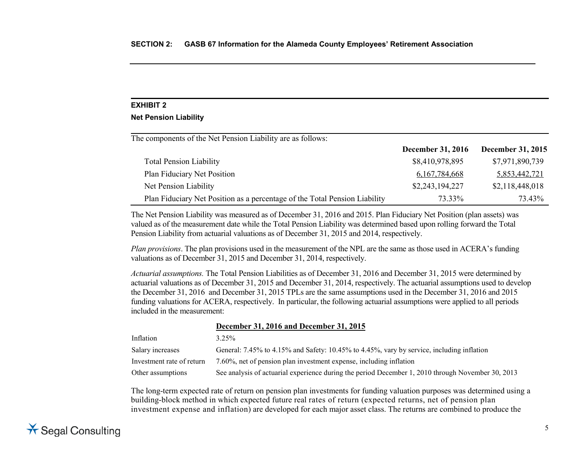#### **Net Pension Liability**

The components of the Net Pension Liability are as follows:

|                                                                            | <b>December 31, 2016</b> | <b>December 31, 2015</b> |
|----------------------------------------------------------------------------|--------------------------|--------------------------|
| <b>Total Pension Liability</b>                                             | \$8,410,978,895          | \$7,971,890,739          |
| Plan Fiduciary Net Position                                                | 6, 167, 784, 668         | 5,853,442,721            |
| Net Pension Liability                                                      | \$2,243,194,227          | \$2,118,448,018          |
| Plan Fiduciary Net Position as a percentage of the Total Pension Liability | 73.33%                   | 73.43%                   |

The Net Pension Liability was measured as of December 31, 2016 and 2015. Plan Fiduciary Net Position (plan assets) was valued as of the measurement date while the Total Pension Liability was determined based upon rolling forward the Total Pension Liability from actuarial valuations as of December 31, 2015 and 2014, respectively.

*Plan provisions*. The plan provisions used in the measurement of the NPL are the same as those used in ACERA's funding valuations as of December 31, 2015 and December 31, 2014, respectively.

*Actuarial assumptions.* The Total Pension Liabilities as of December 31, 2016 and December 31, 2015 were determined by actuarial valuations as of December 31, 2015 and December 31, 2014, respectively. The actuarial assumptions used to develop the December 31, 2016 and December 31, 2015 TPLs are the same assumptions used in the December 31, 2016 and 2015 funding valuations for ACERA, respectively. In particular, the following actuarial assumptions were applied to all periods included in the measurement:

#### **December 31, 2016 and December 31, 2015**

| Inflation                 | $3.25\%$                                                                                          |
|---------------------------|---------------------------------------------------------------------------------------------------|
| Salary increases          | General: 7.45% to 4.15% and Safety: 10.45% to 4.45%, vary by service, including inflation         |
| Investment rate of return | 7.60%, net of pension plan investment expense, including inflation                                |
| Other assumptions         | See analysis of actuarial experience during the period December 1, 2010 through November 30, 2013 |

The long-term expected rate of return on pension plan investments for funding valuation purposes was determined using a building-block method in which expected future real rates of return (expected returns, net of pension plan investment expense and inflation) are developed for each major asset class. The returns are combined to produce the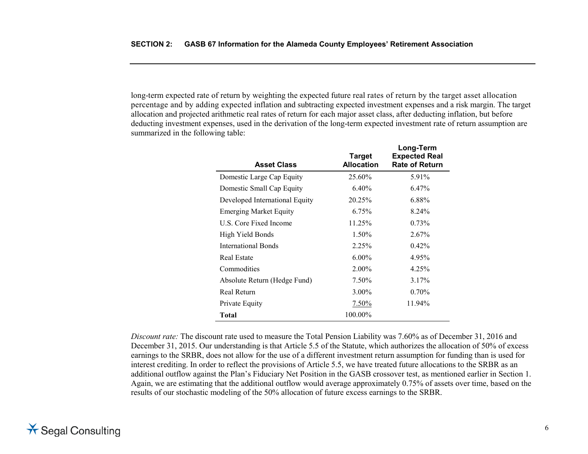long-term expected rate of return by weighting the expected future real rates of return by the target asset allocation percentage and by adding expected inflation and subtracting expected investment expenses and a risk margin. The target allocation and projected arithmetic real rates of return for each major asset class, after deducting inflation, but before deducting investment expenses, used in the derivation of the long-term expected investment rate of return assumption are summarized in the following table:

| <b>Asset Class</b>             | <b>Target</b><br><b>Allocation</b> | Long-Term<br><b>Expected Real</b><br><b>Rate of Return</b> |
|--------------------------------|------------------------------------|------------------------------------------------------------|
| Domestic Large Cap Equity      | 25.60%                             | 5.91%                                                      |
| Domestic Small Cap Equity      | $6.40\%$                           | 6.47%                                                      |
| Developed International Equity | 20.25%                             | 6.88%                                                      |
| <b>Emerging Market Equity</b>  | 6.75%                              | 8.24%                                                      |
| U.S. Core Fixed Income         | 11.25%                             | 0.73%                                                      |
| High Yield Bonds               | 1.50%                              | 2.67%                                                      |
| International Bonds            | 2.25%                              | $0.42\%$                                                   |
| Real Estate                    | $6.00\%$                           | 4.95%                                                      |
| Commodities                    | 2.00%                              | 4.25%                                                      |
| Absolute Return (Hedge Fund)   | 7.50%                              | 3.17%                                                      |
| Real Return                    | $3.00\%$                           | $0.70\%$                                                   |
| Private Equity                 | $7.50\%$                           | 11.94%                                                     |
| <b>Total</b>                   | 100.00%                            |                                                            |

*Discount rate:* The discount rate used to measure the Total Pension Liability was 7.60% as of December 31, 2016 and December 31, 2015. Our understanding is that Article 5.5 of the Statute, which authorizes the allocation of 50% of excess earnings to the SRBR, does not allow for the use of a different investment return assumption for funding than is used for interest crediting. In order to reflect the provisions of Article 5.5, we have treated future allocations to the SRBR as an additional outflow against the Plan's Fiduciary Net Position in the GASB crossover test, as mentioned earlier in Section 1. Again, we are estimating that the additional outflow would average approximately 0.75% of assets over time, based on the results of our stochastic modeling of the 50% allocation of future excess earnings to the SRBR.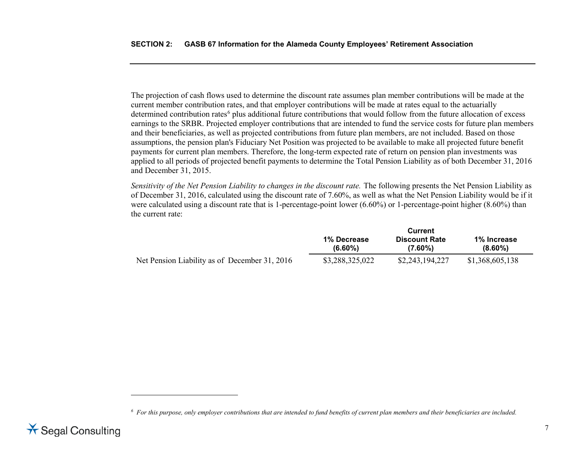<span id="page-15-0"></span>The projection of cash flows used to determine the discount rate assumes plan member contributions will be made at the current member contribution rates, and that employer contributions will be made at rates equal to the actuarially determined contribution rates<sup>[6](#page-15-0)</sup> plus additional future contributions that would follow from the future allocation of excess earnings to the SRBR. Projected employer contributions that are intended to fund the service costs for future plan members and their beneficiaries, as well as projected contributions from future plan members, are not included. Based on those assumptions, the pension plan's Fiduciary Net Position was projected to be available to make all projected future benefit payments for current plan members. Therefore, the long-term expected rate of return on pension plan investments was applied to all periods of projected benefit payments to determine the Total Pension Liability as of both December 31, 2016 and December 31, 2015.

*Sensitivity of the Net Pension Liability to changes in the discount rate.* The following presents the Net Pension Liability as of December 31, 2016, calculated using the discount rate of 7.60%, as well as what the Net Pension Liability would be if it were calculated using a discount rate that is 1-percentage-point lower (6.60%) or 1-percentage-point higher (8.60%) than the current rate:

|                                               | Current                   |                                    |                           |  |
|-----------------------------------------------|---------------------------|------------------------------------|---------------------------|--|
|                                               | 1% Decrease<br>$(6.60\%)$ | <b>Discount Rate</b><br>$(7.60\%)$ | 1% Increase<br>$(8.60\%)$ |  |
| Net Pension Liability as of December 31, 2016 | \$3,288,325,022           | \$2,243,194,227                    | \$1,368,605,138           |  |

*<sup>6</sup> For this purpose, only employer contributions that are intended to fund benefits of current plan members and their beneficiaries are included.*



 $\overline{a}$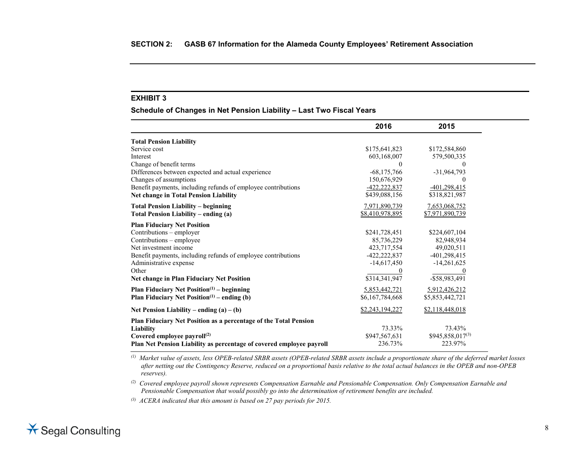### **Schedule of Changes in Net Pension Liability – Last Two Fiscal Years**

|                                                                      | 2016            | 2015             |
|----------------------------------------------------------------------|-----------------|------------------|
| <b>Total Pension Liability</b>                                       |                 |                  |
| Service cost                                                         | \$175,641,823   | \$172,584,860    |
| Interest                                                             | 603,168,007     | 579,500,335      |
| Change of benefit terms                                              | $\theta$        | $\theta$         |
| Differences between expected and actual experience                   | $-68,175,766$   | $-31,964,793$    |
| Changes of assumptions                                               | 150,676,929     |                  |
| Benefit payments, including refunds of employee contributions        | -422,222,837    | -401,298,415     |
| <b>Net change in Total Pension Liability</b>                         | \$439,088,156   | \$318,821,987    |
| <b>Total Pension Liability – beginning</b>                           | 7,971,890,739   | 7,653,068,752    |
| Total Pension Liability – ending (a)                                 | \$8,410,978,895 | \$7,971,890,739  |
| <b>Plan Fiduciary Net Position</b>                                   |                 |                  |
| Contributions - employer                                             | \$241,728,451   | \$224,607,104    |
| Contributions – employee                                             | 85,736,229      | 82,948,934       |
| Net investment income                                                | 423,717,554     | 49,020,511       |
| Benefit payments, including refunds of employee contributions        | -422,222,837    | -401,298,415     |
| Administrative expense                                               | $-14,617,450$   | $-14,261,625$    |
| Other                                                                |                 |                  |
| <b>Net change in Plan Fiduciary Net Position</b>                     | \$314,341,947   | -\$58,983,491    |
| <b>Plan Fiduciary Net Position</b> $(1)$ – beginning                 | 5,853,442,721   | 5,912,426,212    |
| Plan Fiduciary Net Position $(1)$ – ending (b)                       | \$6,167,784,668 | \$5,853,442,721  |
| Net Pension Liability – ending $(a) - (b)$                           | \$2,243,194,227 | \$2,118,448,018  |
| Plan Fiduciary Net Position as a percentage of the Total Pension     |                 |                  |
| Liability                                                            | 73.33%          | 73.43%           |
| Covered employee payroll <sup>(2)</sup>                              | \$947,567,631   | \$945,858,017(3) |
| Plan Net Pension Liability as percentage of covered employee payroll | 236.73%         | 223.97%          |

*(1) Market value of assets, less OPEB-related SRBR assets (OPEB-related SRBR assets include a proportionate share of the deferred market losses after netting out the Contingency Reserve, reduced on a proportional basis relative to the total actual balances in the OPEB and non-OPEB reserves).*

*(2) Covered employee payroll shown represents Compensation Earnable and Pensionable Compensation. Only Compensation Earnable and Pensionable Compensation that would possibly go into the determination of retirement benefits are included.*

*(3) ACERA indicated that this amount is based on 27 pay periods for 2015.*

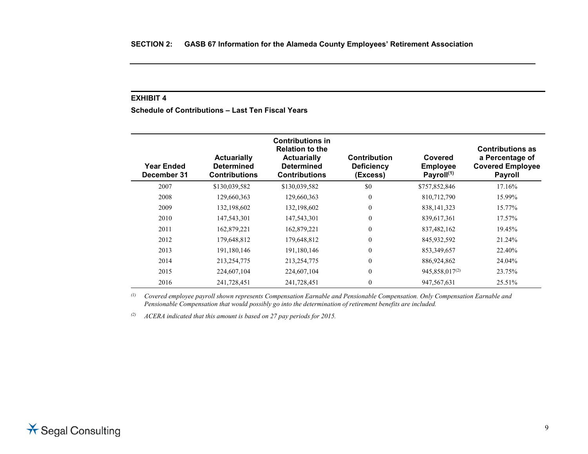**Schedule of Contributions – Last Ten Fiscal Years**

| Year Ended<br>December 31 | <b>Actuarially</b><br><b>Determined</b><br><b>Contributions</b> | <b>Contributions in</b><br><b>Relation to the</b><br><b>Actuarially</b><br><b>Determined</b><br><b>Contributions</b> | <b>Contribution</b><br><b>Deficiency</b><br>(Excess) | Covered<br><b>Employee</b><br>Payroll <sup>(1)</sup> | <b>Contributions as</b><br>a Percentage of<br><b>Covered Employee</b><br><b>Payroll</b> |
|---------------------------|-----------------------------------------------------------------|----------------------------------------------------------------------------------------------------------------------|------------------------------------------------------|------------------------------------------------------|-----------------------------------------------------------------------------------------|
| 2007                      | \$130,039,582                                                   | \$130,039,582                                                                                                        | \$0                                                  | \$757,852,846                                        | 17.16%                                                                                  |
| 2008                      | 129,660,363                                                     | 129,660,363                                                                                                          | $\mathbf{0}$                                         | 810,712,790                                          | 15.99%                                                                                  |
| 2009                      | 132,198,602                                                     | 132,198,602                                                                                                          | $\mathbf{0}$                                         | 838, 141, 323                                        | 15.77%                                                                                  |
| 2010                      | 147,543,301                                                     | 147,543,301                                                                                                          | $\mathbf{0}$                                         | 839,617,361                                          | 17.57%                                                                                  |
| 2011                      | 162,879,221                                                     | 162,879,221                                                                                                          | $\mathbf{0}$                                         | 837,482,162                                          | 19.45%                                                                                  |
| 2012                      | 179,648,812                                                     | 179,648,812                                                                                                          | $\mathbf{0}$                                         | 845,932,592                                          | 21.24%                                                                                  |
| 2013                      | 191,180,146                                                     | 191,180,146                                                                                                          | $\theta$                                             | 853, 349, 657                                        | 22.40%                                                                                  |
| 2014                      | 213,254,775                                                     | 213,254,775                                                                                                          | $\mathbf{0}$                                         | 886,924,862                                          | 24.04%                                                                                  |
| 2015                      | 224,607,104                                                     | 224,607,104                                                                                                          | $\theta$                                             | 945, 858, 017 <sup>(2)</sup>                         | 23.75%                                                                                  |
| 2016                      | 241,728,451                                                     | 241,728,451                                                                                                          | $\mathbf{0}$                                         | 947,567,631                                          | 25.51%                                                                                  |

*(1) Covered employee payroll shown represents Compensation Earnable and Pensionable Compensation. Only Compensation Earnable and Pensionable Compensation that would possibly go into the determination of retirement benefits are included.*

*(2) ACERA indicated that this amount is based on 27 pay periods for 2015.*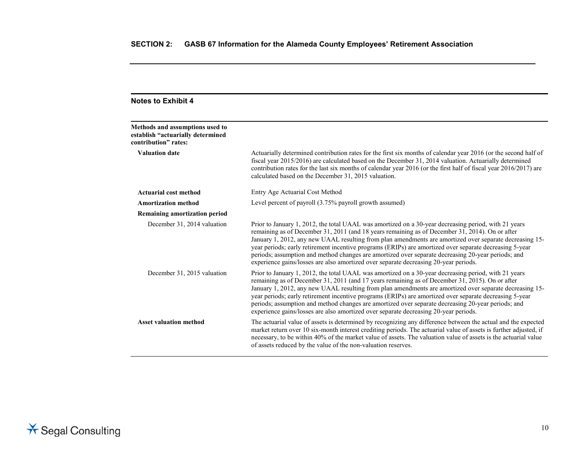| <b>Notes to Exhibit 4</b>                                                                    |                                                                                                                                                                                                                                                                                                                                                                                                                                                                                                                                                                                                                             |
|----------------------------------------------------------------------------------------------|-----------------------------------------------------------------------------------------------------------------------------------------------------------------------------------------------------------------------------------------------------------------------------------------------------------------------------------------------------------------------------------------------------------------------------------------------------------------------------------------------------------------------------------------------------------------------------------------------------------------------------|
| Methods and assumptions used to<br>establish "actuarially determined<br>contribution" rates: |                                                                                                                                                                                                                                                                                                                                                                                                                                                                                                                                                                                                                             |
| <b>Valuation date</b>                                                                        | Actuarially determined contribution rates for the first six months of calendar year 2016 (or the second half of<br>fiscal year 2015/2016) are calculated based on the December 31, 2014 valuation. Actuarially determined<br>contribution rates for the last six months of calendar year 2016 (or the first half of fiscal year 2016/2017) are<br>calculated based on the December 31, 2015 valuation.                                                                                                                                                                                                                      |
| Actuarial cost method                                                                        | Entry Age Actuarial Cost Method                                                                                                                                                                                                                                                                                                                                                                                                                                                                                                                                                                                             |
| <b>Amortization method</b>                                                                   | Level percent of payroll (3.75% payroll growth assumed)                                                                                                                                                                                                                                                                                                                                                                                                                                                                                                                                                                     |
| <b>Remaining amortization period</b>                                                         |                                                                                                                                                                                                                                                                                                                                                                                                                                                                                                                                                                                                                             |
| December 31, 2014 valuation                                                                  | Prior to January 1, 2012, the total UAAL was amortized on a 30-year decreasing period, with 21 years<br>remaining as of December 31, 2011 (and 18 years remaining as of December 31, 2014). On or after<br>January 1, 2012, any new UAAL resulting from plan amendments are amortized over separate decreasing 15-<br>year periods; early retirement incentive programs (ERIPs) are amortized over separate decreasing 5-year<br>periods; assumption and method changes are amortized over separate decreasing 20-year periods; and<br>experience gains/losses are also amortized over separate decreasing 20-year periods. |
| December 31, 2015 valuation                                                                  | Prior to January 1, 2012, the total UAAL was amortized on a 30-year decreasing period, with 21 years<br>remaining as of December 31, 2011 (and 17 years remaining as of December 31, 2015). On or after<br>January 1, 2012, any new UAAL resulting from plan amendments are amortized over separate decreasing 15-<br>year periods; early retirement incentive programs (ERIPs) are amortized over separate decreasing 5-year<br>periods; assumption and method changes are amortized over separate decreasing 20-year periods; and<br>experience gains/losses are also amortized over separate decreasing 20-year periods. |
| <b>Asset valuation method</b>                                                                | The actuarial value of assets is determined by recognizing any difference between the actual and the expected<br>market return over 10 six-month interest crediting periods. The actuarial value of assets is further adjusted, if<br>necessary, to be within 40% of the market value of assets. The valuation value of assets is the actuarial value<br>of assets reduced by the value of the non-valuation reserves.                                                                                                                                                                                                      |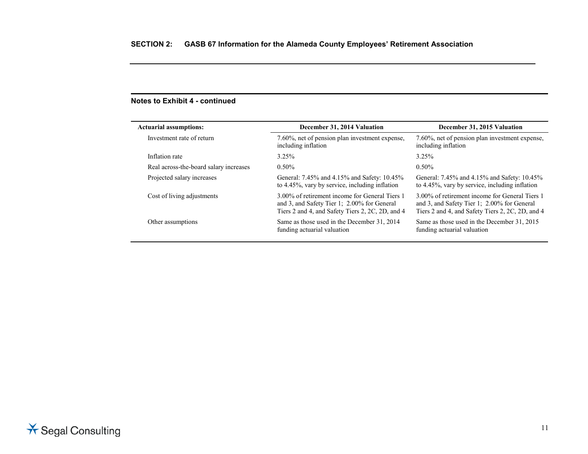# **Notes to Exhibit 4 - continued**

| <b>Actuarial assumptions:</b>          | December 31, 2014 Valuation                                                                                                                       | December 31, 2015 Valuation                                                                                                                       |
|----------------------------------------|---------------------------------------------------------------------------------------------------------------------------------------------------|---------------------------------------------------------------------------------------------------------------------------------------------------|
| Investment rate of return              | 7.60%, net of pension plan investment expense,<br>including inflation                                                                             | 7.60%, net of pension plan investment expense,<br>including inflation                                                                             |
| Inflation rate                         | $3.25\%$                                                                                                                                          | 3.25%                                                                                                                                             |
| Real across-the-board salary increases | $0.50\%$                                                                                                                                          | $0.50\%$                                                                                                                                          |
| Projected salary increases             | General: 7.45% and 4.15% and Safety: 10.45%<br>to 4.45%, vary by service, including inflation                                                     | General: 7.45% and 4.15% and Safety: 10.45%<br>to 4.45%, vary by service, including inflation                                                     |
| Cost of living adjustments             | 3.00% of retirement income for General Tiers 1<br>and 3, and Safety Tier 1; 2.00% for General<br>Tiers 2 and 4, and Safety Tiers 2, 2C, 2D, and 4 | 3.00% of retirement income for General Tiers 1<br>and 3, and Safety Tier 1; 2.00% for General<br>Tiers 2 and 4, and Safety Tiers 2, 2C, 2D, and 4 |
| Other assumptions                      | Same as those used in the December 31, 2014<br>funding actuarial valuation                                                                        | Same as those used in the December 31, 2015<br>funding actuarial valuation                                                                        |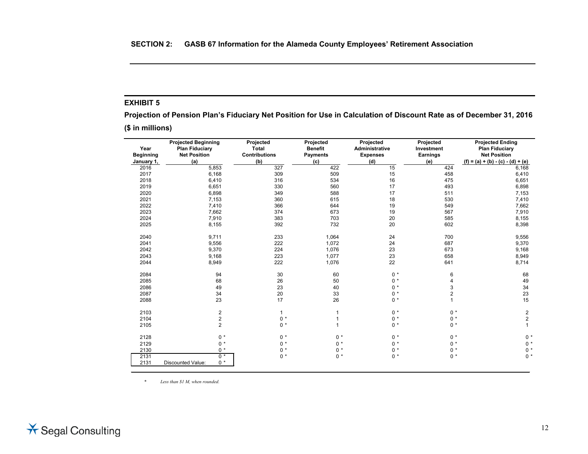**Projection of Pension Plan's Fiduciary Net Position for Use in Calculation of Discount Rate as of December 31, 2016**

**(\$ in millions)**

| Year             | <b>Projected Beginning</b><br><b>Plan Fiduciary</b> | Projected<br><b>Total</b> | Projected<br><b>Benefit</b> | Projected<br><b>Administrative</b> | Projected<br>Investment | <b>Projected Ending</b><br><b>Plan Fiduciary</b> |
|------------------|-----------------------------------------------------|---------------------------|-----------------------------|------------------------------------|-------------------------|--------------------------------------------------|
| <b>Beginning</b> | <b>Net Position</b>                                 | <b>Contributions</b>      | <b>Payments</b>             | <b>Expenses</b>                    | Earnings                | <b>Net Position</b>                              |
| January 1,       | (a)                                                 | (b)                       | (c)                         | (d)                                | (e)                     | $(f) = (a) + (b) - (c) - (d) + (e)$              |
| 2016             | 5,853                                               | 327                       | 422                         | 15                                 | 424                     | 6,168                                            |
| 2017             | 6,168                                               | 309                       | 509                         | 15                                 | 458                     | 6,410                                            |
| 2018             | 6,410                                               | 316                       | 534                         | 16                                 | 475                     | 6,651                                            |
| 2019             | 6,651                                               | 330                       | 560                         | 17                                 | 493                     | 6,898                                            |
| 2020             | 6,898                                               | 349                       | 588                         | 17                                 | 511                     | 7,153                                            |
| 2021             | 7,153                                               | 360                       | 615                         | 18                                 | 530                     | 7,410                                            |
| 2022             | 7,410                                               | 366                       | 644                         | 19                                 | 549                     | 7,662                                            |
| 2023             | 7,662                                               | 374                       | 673                         | 19                                 | 567                     | 7,910                                            |
| 2024             | 7,910                                               | 383                       | 703                         | 20                                 | 585                     | 8,155                                            |
| 2025             | 8,155                                               | 392                       | 732                         | 20                                 | 602                     | 8,398                                            |
| 2040             | 9,711                                               | 233                       | 1,064                       | 24                                 | 700                     | 9,556                                            |
| 2041             | 9,556                                               | 222                       | 1,072                       | 24                                 | 687                     | 9,370                                            |
| 2042             | 9,370                                               | 224                       | 1,076                       | 23                                 | 673                     | 9,168                                            |
| 2043             | 9,168                                               | 223                       | 1,077                       | 23                                 | 658                     | 8,949                                            |
| 2044             | 8,949                                               | 222                       | 1,076                       | 22                                 | 641                     | 8,714                                            |
| 2084             | 94                                                  | 30                        | 60                          | $0 *$                              | 6                       | 68                                               |
| 2085             | 68                                                  | 26                        | 50                          | $0 *$                              | 4                       | 49                                               |
| 2086             | 49                                                  | 23                        | 40                          | $0 *$                              | 3                       | 34                                               |
| 2087             | 34                                                  | 20                        | 33                          | $0 *$                              | $\overline{2}$          | 23                                               |
| 2088             | 23                                                  | 17                        | 26                          | $0 *$                              | 1                       | 15                                               |
| 2103             | $\overline{2}$                                      | $\mathbf{1}$              | 1                           | $0 *$                              | $0 *$                   | $\overline{2}$                                   |
| 2104             | $\overline{\mathbf{c}}$                             | $0 *$                     | 1                           | $0 *$                              | $0 *$                   | $\overline{c}$                                   |
| 2105             | $\overline{2}$                                      | $0 *$                     | 1                           | $0 *$                              | $0 *$                   | $\mathbf{1}$                                     |
| 2128             | $0 *$                                               | $0 *$                     | $0 *$                       | $0 *$                              | $0 *$                   | $0 *$                                            |
| 2129             | $0 *$                                               | $0 *$                     | $0 *$                       | $0 *$                              | $0 *$                   | $0 *$                                            |
| 2130             | $0 *$                                               | $0 *$                     | $0 *$                       | $0 *$                              | $0 *$                   | $0 *$                                            |
| 2131             | $0 *$                                               | $0 *$                     | $0 *$                       | $0 *$                              | $0 *$                   | $0 *$                                            |
| 2131             | $0 *$<br><b>Discounted Value:</b>                   |                           |                             |                                    |                         |                                                  |

*\* Less than \$1 M, when rounded.*